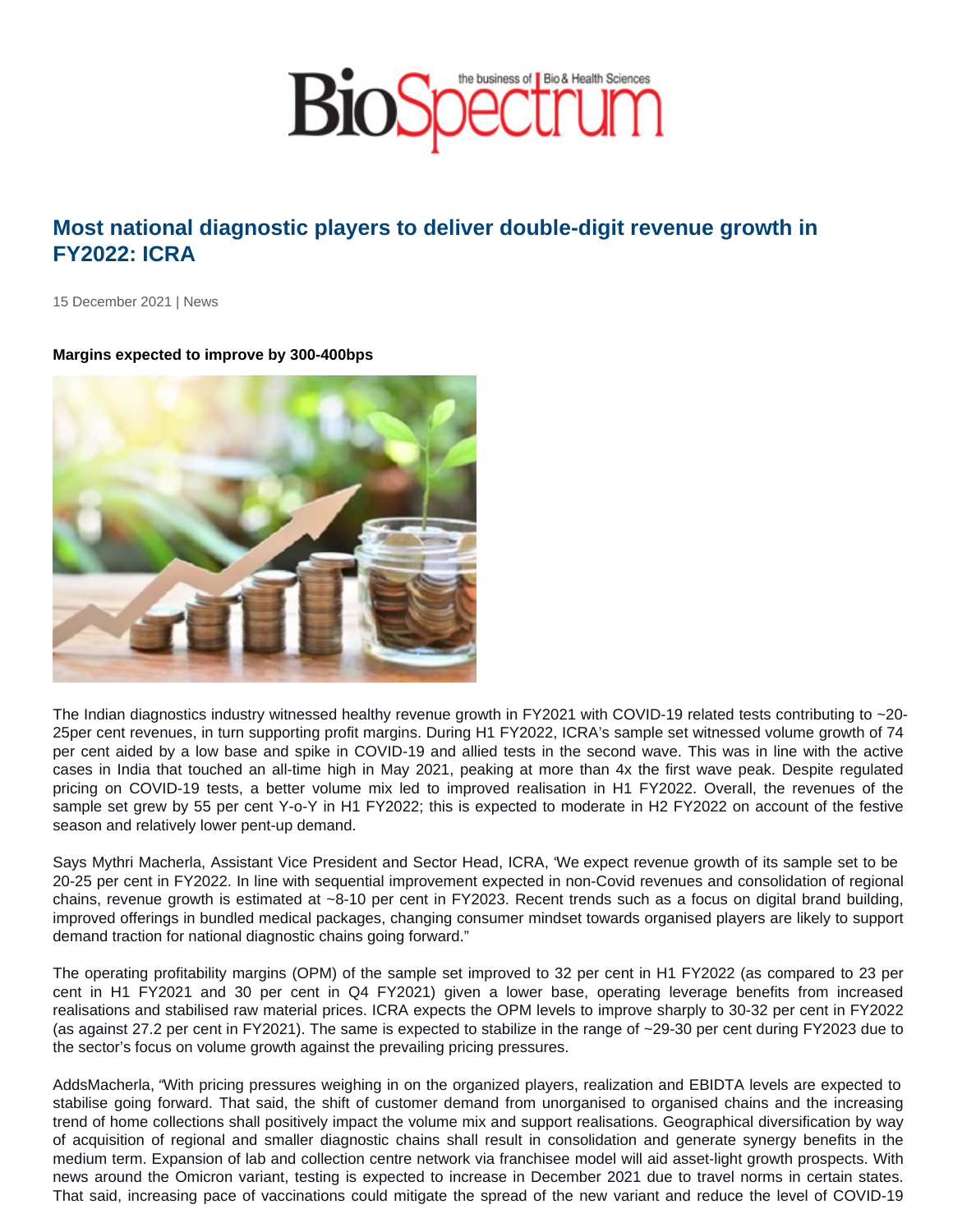## Most national diagnostic players to deliver double-digit revenue growth in FY2022: ICRA

15 December 2021 | News

Margins expected to improve by 300-400bps

The Indian diagnostics industry witnessed healthy revenue growth in FY2021 with COVID-19 related tests contributing to ~20- 25per cent revenues, in turn supporting profit margins. During H1 FY2022, ICRA's sample set witnessed volume growth of 74 per cent aided by a low base and spike in COVID-19 and allied tests in the second wave. This was in line with the active cases in India that touched an all-time high in May 2021, peaking at more than 4x the first wave peak. Despite regulated pricing on COVID-19 tests, a better volume mix led to improved realisation in H1 FY2022. Overall, the revenues of the sample set grew by 55 per cent Y-o-Y in H1 FY2022; this is expected to moderate in H2 FY2022 on account of the festive season and relatively lower pent-up demand.

Says Mythri Macherla, Assistant Vice President and Sector Head, ICRA, "We expect revenue growth of its sample set to be 20-25 per cent in FY2022. In line with sequential improvement expected in non-Covid revenues and consolidation of regional chains, revenue growth is estimated at ~8-10 per cent in FY2023. Recent trends such as a focus on digital brand building, improved offerings in bundled medical packages, changing consumer mindset towards organised players are likely to support demand traction for national diagnostic chains going forward."

The operating profitability margins (OPM) of the sample set improved to 32 per cent in H1 FY2022 (as compared to 23 per cent in H1 FY2021 and 30 per cent in Q4 FY2021) given a lower base, operating leverage benefits from increased realisations and stabilised raw material prices. ICRA expects the OPM levels to improve sharply to 30-32 per cent in FY2022 (as against 27.2 per cent in FY2021). The same is expected to stabilize in the range of ~29-30 per cent during FY2023 due to the sector's focus on volume growth against the prevailing pricing pressures.

AddsMacherla, "With pricing pressures weighing in on the organized players, realization and EBIDTA levels are expected to stabilise going forward. That said, the shift of customer demand from unorganised to organised chains and the increasing trend of home collections shall positively impact the volume mix and support realisations. Geographical diversification by way of acquisition of regional and smaller diagnostic chains shall result in consolidation and generate synergy benefits in the medium term. Expansion of lab and collection centre network via franchisee model will aid asset-light growth prospects. With news around the Omicron variant, testing is expected to increase in December 2021 due to travel norms in certain states. That said, increasing pace of vaccinations could mitigate the spread of the new variant and reduce the level of COVID-19